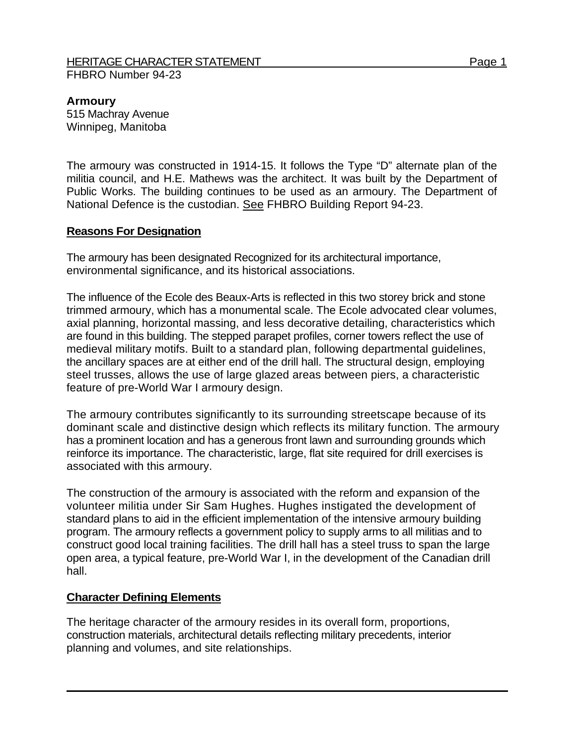#### HERITAGE CHARACTER STATEMENT FRAGGIOUS CHARACTER STATEMENT FHBRO Number 94-23

### **Armoury**

515 Machray Avenue Winnipeg, Manitoba

The armoury was constructed in 1914-15. It follows the Type "D" alternate plan of the militia council, and H.E. Mathews was the architect. It was built by the Department of Public Works. The building continues to be used as an armoury. The Department of National Defence is the custodian. See FHBRO Building Report 94-23.

## **Reasons For Designation**

The armoury has been designated Recognized for its architectural importance, environmental significance, and its historical associations.

The influence of the Ecole des Beaux-Arts is reflected in this two storey brick and stone trimmed armoury, which has a monumental scale. The Ecole advocated clear volumes, axial planning, horizontal massing, and less decorative detailing, characteristics which are found in this building. The stepped parapet profiles, corner towers reflect the use of medieval military motifs. Built to a standard plan, following departmental guidelines, the ancillary spaces are at either end of the drill hall. The structural design, employing steel trusses, allows the use of large glazed areas between piers, a characteristic feature of pre-World War I armoury design.

The armoury contributes significantly to its surrounding streetscape because of its dominant scale and distinctive design which reflects its military function. The armoury has a prominent location and has a generous front lawn and surrounding grounds which reinforce its importance. The characteristic, large, flat site required for drill exercises is associated with this armoury.

The construction of the armoury is associated with the reform and expansion of the volunteer militia under Sir Sam Hughes. Hughes instigated the development of standard plans to aid in the efficient implementation of the intensive armoury building program. The armoury reflects a government policy to supply arms to all militias and to construct good local training facilities. The drill hall has a steel truss to span the large open area, a typical feature, pre-World War I, in the development of the Canadian drill hall.

# **Character Defining Elements**

The heritage character of the armoury resides in its overall form, proportions, construction materials, architectural details reflecting military precedents, interior planning and volumes, and site relationships.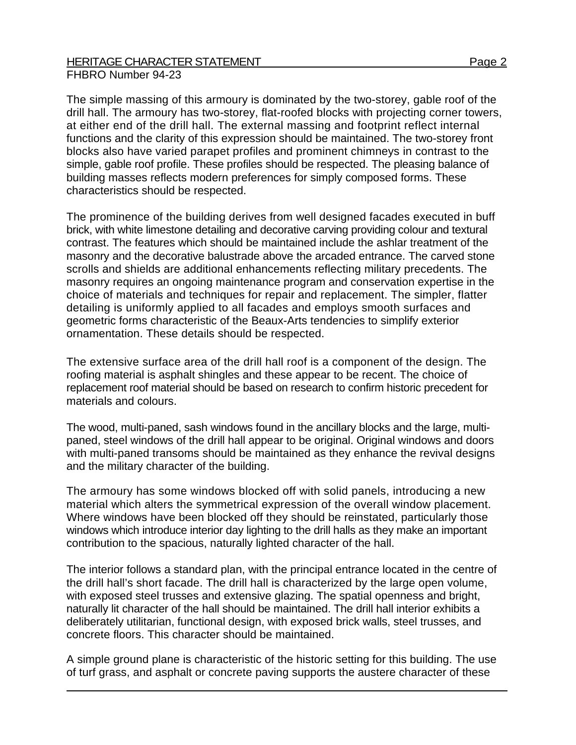### HERITAGE CHARACTER STATEMENT FRIELD AND RESERVE THE Page 2 FHBRO Number 94-23

The simple massing of this armoury is dominated by the two-storey, gable roof of the drill hall. The armoury has two-storey, flat-roofed blocks with projecting corner towers, at either end of the drill hall. The external massing and footprint reflect internal functions and the clarity of this expression should be maintained. The two-storey front blocks also have varied parapet profiles and prominent chimneys in contrast to the simple, gable roof profile. These profiles should be respected. The pleasing balance of building masses reflects modern preferences for simply composed forms. These characteristics should be respected.

The prominence of the building derives from well designed facades executed in buff brick, with white limestone detailing and decorative carving providing colour and textural contrast. The features which should be maintained include the ashlar treatment of the masonry and the decorative balustrade above the arcaded entrance. The carved stone scrolls and shields are additional enhancements reflecting military precedents. The masonry requires an ongoing maintenance program and conservation expertise in the choice of materials and techniques for repair and replacement. The simpler, flatter detailing is uniformly applied to all facades and employs smooth surfaces and geometric forms characteristic of the Beaux-Arts tendencies to simplify exterior ornamentation. These details should be respected.

The extensive surface area of the drill hall roof is a component of the design. The roofing material is asphalt shingles and these appear to be recent. The choice of replacement roof material should be based on research to confirm historic precedent for materials and colours.

The wood, multi-paned, sash windows found in the ancillary blocks and the large, multipaned, steel windows of the drill hall appear to be original. Original windows and doors with multi-paned transoms should be maintained as they enhance the revival designs and the military character of the building.

The armoury has some windows blocked off with solid panels, introducing a new material which alters the symmetrical expression of the overall window placement. Where windows have been blocked off they should be reinstated, particularly those windows which introduce interior day lighting to the drill halls as they make an important contribution to the spacious, naturally lighted character of the hall.

The interior follows a standard plan, with the principal entrance located in the centre of the drill hall's short facade. The drill hall is characterized by the large open volume, with exposed steel trusses and extensive glazing. The spatial openness and bright, naturally lit character of the hall should be maintained. The drill hall interior exhibits a deliberately utilitarian, functional design, with exposed brick walls, steel trusses, and concrete floors. This character should be maintained.

A simple ground plane is characteristic of the historic setting for this building. The use of turf grass, and asphalt or concrete paving supports the austere character of these